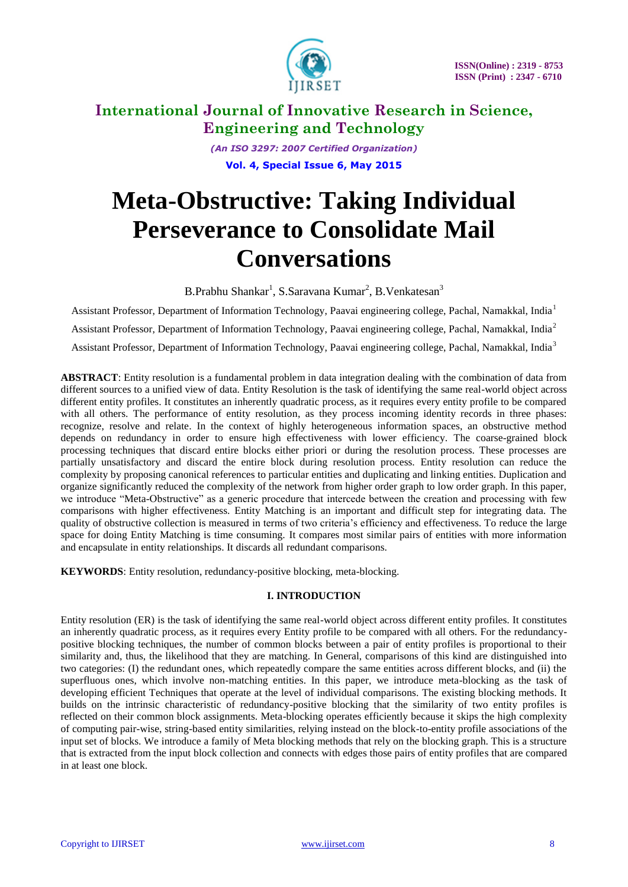

*(An ISO 3297: 2007 Certified Organization)* **Vol. 4, Special Issue 6, May 2015**

# **Meta-Obstructive: Taking Individual Perseverance to Consolidate Mail Conversations**

B.Prabhu Shankar<sup>1</sup>, S.Saravana Kumar<sup>2</sup>, B.Venkatesan<sup>3</sup>

Assistant Professor, Department of Information Technology, Paavai engineering college, Pachal, Namakkal, India<sup>1</sup> Assistant Professor, Department of Information Technology, Paavai engineering college, Pachal, Namakkal, India<sup>2</sup> Assistant Professor, Department of Information Technology, Paavai engineering college, Pachal, Namakkal, India<sup>3</sup>

**ABSTRACT**: Entity resolution is a fundamental problem in data integration dealing with the combination of data from different sources to a unified view of data. Entity Resolution is the task of identifying the same real-world object across different entity profiles. It constitutes an inherently quadratic process, as it requires every entity profile to be compared with all others. The performance of entity resolution, as they process incoming identity records in three phases: recognize, resolve and relate. In the context of highly heterogeneous information spaces, an obstructive method depends on redundancy in order to ensure high effectiveness with lower efficiency. The coarse-grained block processing techniques that discard entire blocks either priori or during the resolution process. These processes are partially unsatisfactory and discard the entire block during resolution process. Entity resolution can reduce the complexity by proposing canonical references to particular entities and duplicating and linking entities. Duplication and organize significantly reduced the complexity of the network from higher order graph to low order graph. In this paper, we introduce "Meta-Obstructive" as a generic procedure that intercede between the creation and processing with few comparisons with higher effectiveness. Entity Matching is an important and difficult step for integrating data. The quality of obstructive collection is measured in terms of two criteria's efficiency and effectiveness. To reduce the large space for doing Entity Matching is time consuming. It compares most similar pairs of entities with more information and encapsulate in entity relationships. It discards all redundant comparisons.

**KEYWORDS**: Entity resolution, redundancy-positive blocking, meta-blocking.

## **I. INTRODUCTION**

Entity resolution (ER) is the task of identifying the same real-world object across different entity profiles. It constitutes an inherently quadratic process, as it requires every Entity profile to be compared with all others. For the redundancypositive blocking techniques, the number of common blocks between a pair of entity profiles is proportional to their similarity and, thus, the likelihood that they are matching. In General, comparisons of this kind are distinguished into two categories: (I) the redundant ones, which repeatedly compare the same entities across different blocks, and (ii) the superfluous ones, which involve non-matching entities. In this paper, we introduce meta-blocking as the task of developing efficient Techniques that operate at the level of individual comparisons. The existing blocking methods. It builds on the intrinsic characteristic of redundancy-positive blocking that the similarity of two entity profiles is reflected on their common block assignments. Meta-blocking operates efficiently because it skips the high complexity of computing pair-wise, string-based entity similarities, relying instead on the block-to-entity profile associations of the input set of blocks. We introduce a family of Meta blocking methods that rely on the blocking graph. This is a structure that is extracted from the input block collection and connects with edges those pairs of entity profiles that are compared in at least one block.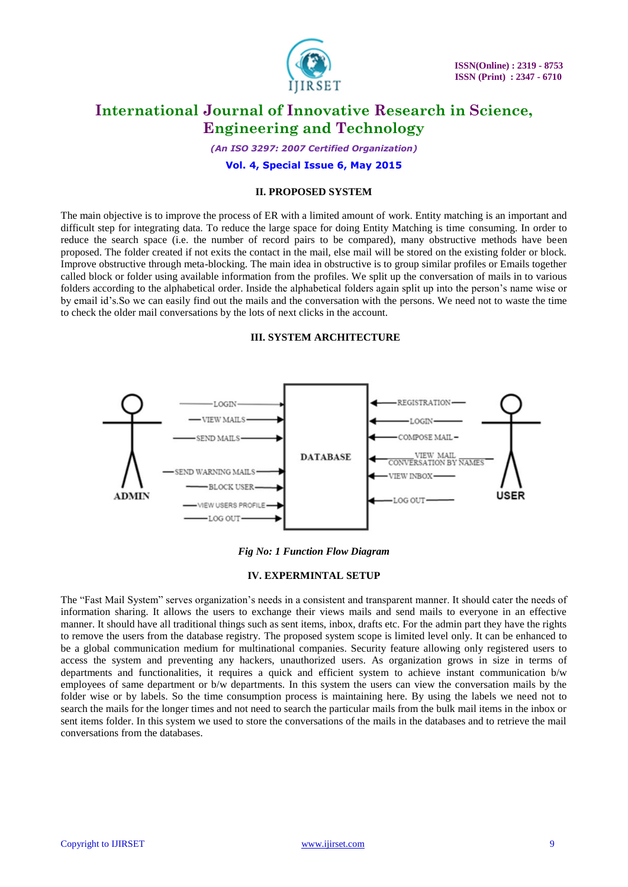

*(An ISO 3297: 2007 Certified Organization)*

**Vol. 4, Special Issue 6, May 2015**

## **II. PROPOSED SYSTEM**

The main objective is to improve the process of ER with a limited amount of work. Entity matching is an important and difficult step for integrating data. To reduce the large space for doing Entity Matching is time consuming. In order to reduce the search space (i.e. the number of record pairs to be compared), many obstructive methods have been proposed. The folder created if not exits the contact in the mail, else mail will be stored on the existing folder or block. Improve obstructive through meta-blocking. The main idea in obstructive is to group similar profiles or Emails together called block or folder using available information from the profiles. We split up the conversation of mails in to various folders according to the alphabetical order. Inside the alphabetical folders again split up into the person's name wise or by email id's.So we can easily find out the mails and the conversation with the persons. We need not to waste the time to check the older mail conversations by the lots of next clicks in the account.

## **III. SYSTEM ARCHITECTURE**



## *Fig No: 1 Function Flow Diagram*

## **IV. EXPERMINTAL SETUP**

The "Fast Mail System" serves organization's needs in a consistent and transparent manner. It should cater the needs of information sharing. It allows the users to exchange their views mails and send mails to everyone in an effective manner. It should have all traditional things such as sent items, inbox, drafts etc. For the admin part they have the rights to remove the users from the database registry. The proposed system scope is limited level only. It can be enhanced to be a global communication medium for multinational companies. Security feature allowing only registered users to access the system and preventing any hackers, unauthorized users. As organization grows in size in terms of departments and functionalities, it requires a quick and efficient system to achieve instant communication b/w employees of same department or b/w departments. In this system the users can view the conversation mails by the folder wise or by labels. So the time consumption process is maintaining here. By using the labels we need not to search the mails for the longer times and not need to search the particular mails from the bulk mail items in the inbox or sent items folder. In this system we used to store the conversations of the mails in the databases and to retrieve the mail conversations from the databases.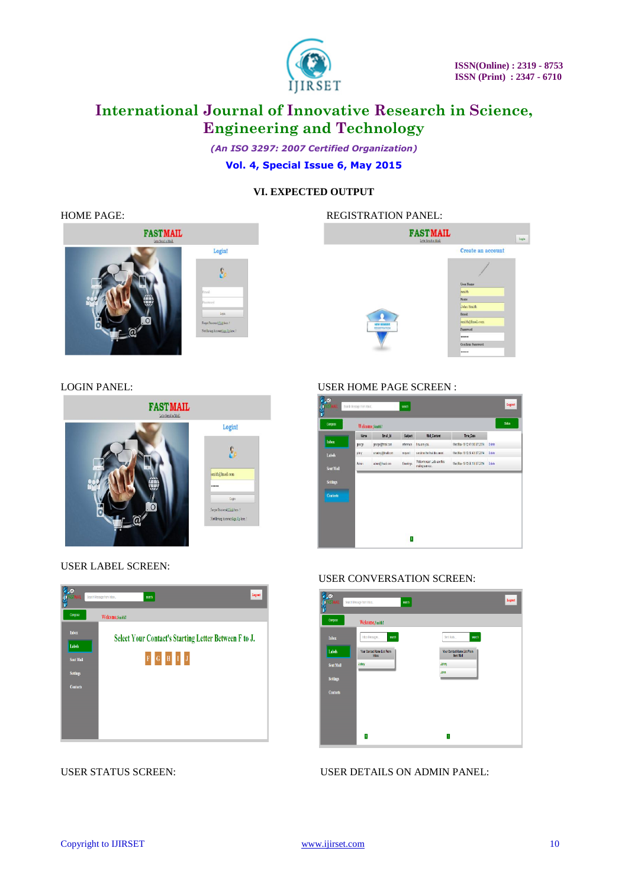

*(An ISO 3297: 2007 Certified Organization)* **Vol. 4, Special Issue 6, May 2015**

## **VI. EXPECTED OUTPUT**





USER LABEL SCREEN:



## LOGIN PANEL: USER HOME PAGE SCREEN :

| Compose         |        | Welcome, Smith!  |           |                                              |                              | Salas       |
|-----------------|--------|------------------|-----------|----------------------------------------------|------------------------------|-------------|
|                 | Name   | Email id         | Subject   | Mail_Content                                 | Time Date                    |             |
| Inbox           | george | george@fruit.com | reference | how are you.                                 | WedNav 19 12:47:00 IST 2014  | Dalete      |
| Labels          | ptry   | snarry@mail.com  | request   | sendme the final document.                   | Wed Nov 19 12:56:43 IST 2014 | <b>Date</b> |
| Sent Mail       | Admin  | atmn3fnatcon     | Greetings | Welcome user, Lets use this<br>maing service | Wed Nov 19 13:00:19 IST 2014 | Dalete      |
| Settings        |        |                  |           |                                              |                              |             |
| <b>Contacts</b> |        |                  |           |                                              |                              |             |
|                 |        |                  |           |                                              |                              |             |
|                 |        |                  |           |                                              |                              |             |

#### USER CONVERSATION SCREEN:



USER STATUS SCREEN: USER DETAILS ON ADMIN PANEL: